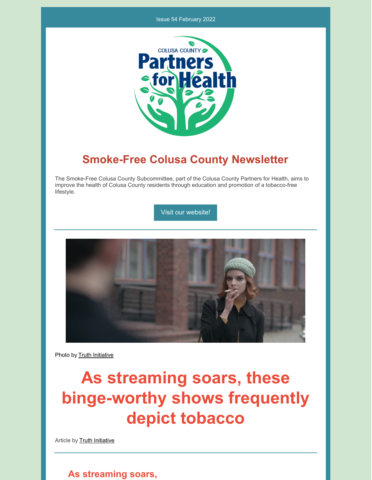#### Issue 54 February 2022



## **Smoke-Free Colusa County Newsletter**

The Smoke-Free Colusa County Subcommittee, part of the Colusa County Partners for Health, aims to improve the health of Colusa County residents through education and promotion of a tobacco-free lifestyle.

Visit our [website!](https://www.countyofcolusa.org/index.aspx?NID=580)



Photo by Truth [Initiative](https://truthinitiative.org/research-resources/tobacco-pop-culture/streaming-soars-these-binge-worthy-shows-frequently-depict)

# **As streaming soars, these binge-worthy shows frequently depict tobacco**

Article by **Truth [Initiative](https://truthinitiative.org/research-resources/tobacco-pop-culture/streaming-soars-these-binge-worthy-shows-frequently-depict)** 

#### **As streaming soars,**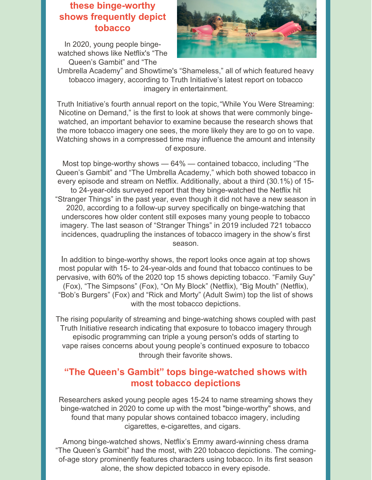## **these binge-worthy shows frequently depict tobacco**

In 2020, young people bingewatched shows like Netflix's "The Queen's Gambit" and "The



Umbrella Academy" and Showtime's "Shameless," all of which featured heavy tobacco imagery, according to Truth Initiative's latest report on tobacco imagery in [entertainment.](https://truthinitiative.org/nicotine-on-demand)

Truth Initiative's fourth annual report on the [topic,"While](https://truthinitiative.org/nicotine-on-demand) You Were Streaming: Nicotine on Demand," is the first to look at shows that were commonly bingewatched, an important behavior to examine because the research shows that the more tobacco imagery one sees, the more likely they are to go on to vape. Watching shows in a compressed time may influence the amount and intensity of exposure.

Most top binge-worthy shows — 64% — contained tobacco, including "The Queen's Gambit" and "The Umbrella Academy," which both showed tobacco in every episode and stream on Netflix. Additionally, about a third (30.1%) of 15 to 24-year-olds surveyed report that they binge-watched the Netflix hit "Stranger Things" in the past year, even though it did not have a new season in 2020, according to a follow-up survey specifically on binge-watching that underscores how older content still exposes many young people to tobacco imagery. The last season of "Stranger Things" in 2019 included 721 tobacco incidences, quadrupling the instances of tobacco imagery in the show's first season.

In addition to binge-worthy shows, the report looks once again at top shows most popular with 15- to 24-year-olds and found that tobacco continues to be pervasive, with 60% of the 2020 top 15 shows depicting tobacco. "Family Guy" (Fox), "The Simpsons" (Fox), "On My Block" (Netflix), "Big Mouth" (Netflix), "Bob's Burgers" (Fox) and "Rick and Morty" (Adult Swim) top the list of shows with the most tobacco depictions.

The rising popularity of streaming and binge-watching shows coupled with past Truth Initiative research indicating that exposure to tobacco imagery through episodic [programming](https://truthinitiative.org/research-resources/tobacco-pop-culture/straight-vape) can triple a young person's odds of starting to vape raises concerns about young people's continued exposure to tobacco through their favorite shows.

### **"The Queen's Gambit" tops binge-watched shows with most tobacco depictions**

Researchers asked young people ages 15-24 to name streaming shows they binge-watched in 2020 to come up with the most "binge-worthy" shows, and found that many popular shows contained tobacco imagery, including cigarettes, e-cigarettes, and cigars.

Among binge-watched shows, Netflix's Emmy award-winning chess drama "The Queen's Gambit" had the most, with 220 tobacco depictions. The comingof-age story prominently features characters using tobacco. In its first season alone, the show depicted tobacco in every episode.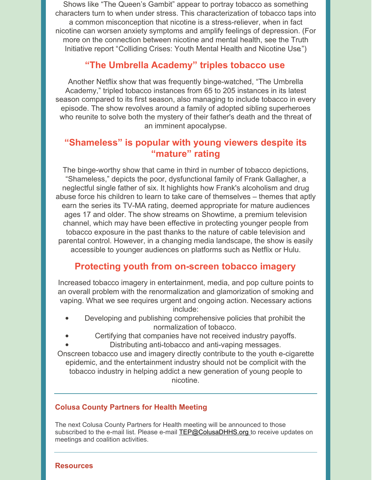Shows like "The Queen's Gambit" appear to portray tobacco as something characters turn to when under stress. This characterization of tobacco taps into a common misconception that nicotine is a stress-reliever, when in fact nicotine can worsen anxiety symptoms and amplify feelings of depression. (For more on the connection between nicotine and mental health, see the Truth Initiative report "[Colliding](https://truthinitiative.org/research-resources/emerging-tobacco-products/colliding-crises-youth-mental-health-and-nicotine-use) Crises: Youth Mental Health and Nicotine Use")

#### **"The Umbrella Academy" triples tobacco use**

Another Netflix show that was frequently binge-watched, "The Umbrella Academy," tripled tobacco instances from 65 to 205 instances in its latest season compared to its first season, also managing to include tobacco in every episode. The show revolves around a family of adopted sibling superheroes who reunite to solve both the mystery of their father's death and the threat of an imminent apocalypse.

### **"Shameless" is popular with young viewers despite its "mature" rating**

The binge-worthy show that came in third in number of tobacco depictions, "Shameless," depicts the poor, dysfunctional family of Frank Gallagher, a neglectful single father of six. It highlights how Frank's alcoholism and drug abuse force his children to learn to take care of themselves – themes that aptly earn the series its TV-MA rating, deemed appropriate for mature audiences ages 17 and older. The show streams on Showtime, a premium television channel, which may have been effective in protecting younger people from tobacco exposure in the past thanks to the nature of cable television and parental control. However, in a changing media landscape, the show is easily accessible to younger audiences on platforms such as Netflix or Hulu.

### **Protecting youth from on-screen tobacco imagery**

Increased tobacco imagery in entertainment, media, and pop culture points to an overall problem with the renormalization and glamorization of smoking and vaping. What we see requires urgent and ongoing action. Necessary actions include:

- Developing and publishing comprehensive policies that prohibit the normalization of tobacco.
- Certifying that companies have not received industry payoffs.
	- Distributing anti-tobacco and anti-vaping messages.

Onscreen tobacco use and imagery directly contribute to the youth e-cigarette epidemic, and the entertainment industry should not be complicit with the tobacco industry in helping addict a new generation of young people to nicotine.

#### **Colusa County Partners for Health Meeting**

The next Colusa County Partners for Health meeting will be announced to those subscribed to the e-mail list. Please e-mail **[TEP@ColusaDHHS.org](mailto:TEP@ColusaDHHS.org)** to receive updates on meetings and coalition activities.

#### **Resources**